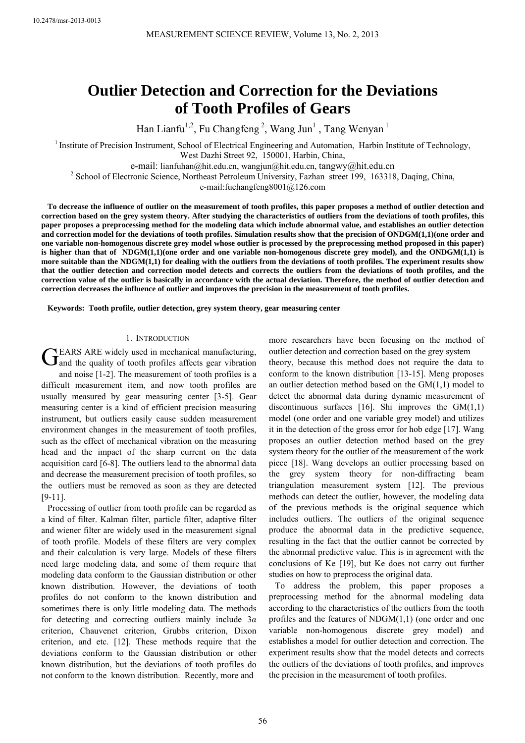# **Outlier Detection and Correction for the Deviations of Tooth Profiles of Gears**

Han Lianfu<sup>1,2</sup>, Fu Changfeng<sup>2</sup>, Wang Jun<sup>1</sup>, Tang Wenyan<sup>1</sup>

<sup>1</sup> Institute of Precision Instrument, School of Electrical Engineering and Automation, Harbin Institute of Technology, West Dazhi Street 92, 150001, Harbin, China,

e-mail: lianfuhan@hit.edu.cn, wangjun@hit.edu.cn, tangwy@hit.edu.cn <sup>2</sup>

<sup>2</sup> School of Electronic Science, Northeast Petroleum University, Fazhan street 199, 163318, Daqing, China,

e-mail:fuchangfeng8001@126.com

**To decrease the influence of outlier on the measurement of tooth profiles, this paper proposes a method of outlier detection and correction based on the grey system theory. After studying the characteristics of outliers from the deviations of tooth profiles, this paper proposes a preprocessing method for the modeling data which include abnormal value, and establishes an outlier detection and correction model for the deviations of tooth profiles. Simulation results show that the precision of ONDGM(1,1)(one order and one variable non-homogenous discrete grey model whose outlier is processed by the preprocessing method proposed in this paper) is higher than that of NDGM(1,1)(one order and one variable non-homogenous discrete grey model), and the ONDGM(1,1) is more suitable than the NDGM(1,1) for dealing with the outliers from the deviations of tooth profiles. The experiment results show that the outlier detection and correction model detects and corrects the outliers from the deviations of tooth profiles, and the correction value of the outlier is basically in accordance with the actual deviation. Therefore, the method of outlier detection and correction decreases the influence of outlier and improves the precision in the measurement of tooth profiles.** 

**Keywords: Tooth profile, outlier detection, grey system theory, gear measuring center** 

## 1. INTRODUCTION

EARS ARE widely used in mechanical manufacturing, GEARS ARE widely used in mechanical manufacturing,<br>
and the quality of tooth profiles affects gear vibration

and noise [1-2]. The measurement of tooth profiles is a difficult measurement item, and now tooth profiles are usually measured by gear measuring center [3-5]. Gear measuring center is a kind of efficient precision measuring instrument, but outliers easily cause sudden measurement environment changes in the measurement of tooth profiles, such as the effect of mechanical vibration on the measuring head and the impact of the sharp current on the data acquisition card [6-8]. The outliers lead to the abnormal data and decrease the measurement precision of tooth profiles, so the outliers must be removed as soon as they are detected [9-11].

Processing of outlier from tooth profile can be regarded as a kind of filter. Kalman filter, particle filter, adaptive filter and wiener filter are widely used in the measurement signal of tooth profile. Models of these filters are very complex and their calculation is very large. Models of these filters need large modeling data, and some of them require that modeling data conform to the Gaussian distribution or other known distribution. However, the deviations of tooth profiles do not conform to the known distribution and sometimes there is only little modeling data. The methods for detecting and correcting outliers mainly include 3*α* criterion, Chauvenet criterion, Grubbs criterion, Dixon criterion, and etc. [12]. These methods require that the deviations conform to the Gaussian distribution or other known distribution, but the deviations of tooth profiles do not conform to the known distribution. Recently, more and

more researchers have been focusing on the method of outlier detection and correction based on the grey system

theory, because this method does not require the data to conform to the known distribution [13-15]. Meng proposes an outlier detection method based on the GM(1,1) model to detect the abnormal data during dynamic measurement of discontinuous surfaces [16]. Shi improves the  $GM(1,1)$ model (one order and one variable grey model) and utilizes it in the detection of the gross error for hob edge [17]. Wang proposes an outlier detection method based on the grey system theory for the outlier of the measurement of the work piece [18]. Wang develops an outlier processing based on the grey system theory for non-diffracting beam triangulation measurement system [12]. The previous methods can detect the outlier, however, the modeling data of the previous methods is the original sequence which includes outliers. The outliers of the original sequence produce the abnormal data in the predictive sequence, resulting in the fact that the outlier cannot be corrected by the abnormal predictive value. This is in agreement with the conclusions of Ke [19], but Ke does not carry out further studies on how to preprocess the original data.

To address the problem, this paper proposes a preprocessing method for the abnormal modeling data according to the characteristics of the outliers from the tooth profiles and the features of NDGM(1,1) (one order and one variable non-homogenous discrete grey model) and establishes a model for outlier detection and correction. The experiment results show that the model detects and corrects the outliers of the deviations of tooth profiles, and improves the precision in the measurement of tooth profiles.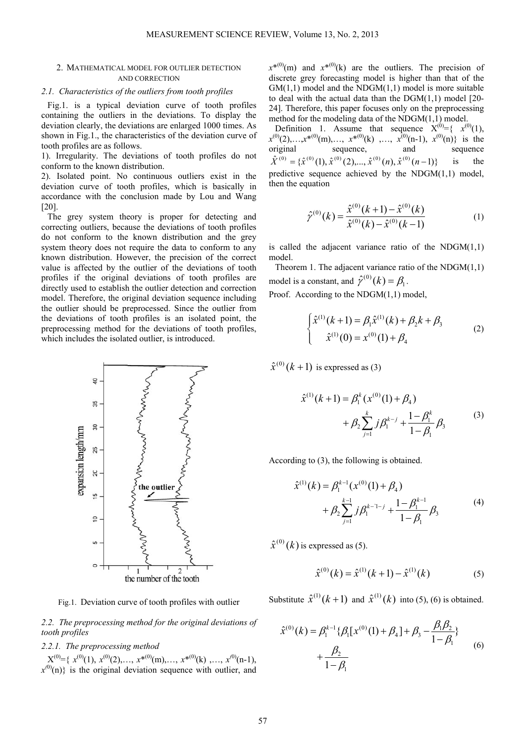## 2. MATHEMATICAL MODEL FOR OUTLIER DETECTION AND CORRECTION

# *2.1. Characteristics of the outliers from tooth profiles*

Fig.1. is a typical deviation curve of tooth profiles containing the outliers in the deviations. To display the deviation clearly, the deviations are enlarged 1000 times. As shown in Fig.1., the characteristics of the deviation curve of tooth profiles are as follows.

1). Irregularity. The deviations of tooth profiles do not conform to the known distribution.

2). Isolated point. No continuous outliers exist in the deviation curve of tooth profiles, which is basically in accordance with the conclusion made by Lou and Wang [20].

The grey system theory is proper for detecting and correcting outliers, because the deviations of tooth profiles do not conform to the known distribution and the grey system theory does not require the data to conform to any known distribution. However, the precision of the correct value is affected by the outlier of the deviations of tooth profiles if the original deviations of tooth profiles are directly used to establish the outlier detection and correction model. Therefore, the original deviation sequence including the outlier should be preprocessed. Since the outlier from the deviations of tooth profiles is an isolated point, the preprocessing method for the deviations of tooth profiles, which includes the isolated outlier, is introduced.



Fig.1. Deviation curve of tooth profiles with outlier

*2.2. The preprocessing method for the original deviations of tooth profiles* 

# *2.2.1. The preprocessing method*

 $X^{(0)} = \{ x^{(0)}(1), x^{(0)}(2), \ldots, x^{*(0)}(m), \ldots, x^{*(0)}(k), \ldots, x^{(0)}(n-1), \}$  $x^{(0)}(n)$  is the original deviation sequence with outlier, and  $x^{*(0)}(m)$  and  $x^{*(0)}(k)$  are the outliers. The precision of discrete grey forecasting model is higher than that of the  $GM(1,1)$  model and the NDGM $(1,1)$  model is more suitable to deal with the actual data than the  $DGM(1,1)$  model [20-24]. Therefore, this paper focuses only on the preprocessing method for the modeling data of the NDGM(1,1) model.

Definition 1. Assume that sequence  $X^{(0)} = \{ x^{(0)}(1),$  $x^{(0)}(2), \ldots, x^{*(0)}(m), \ldots, x^{*(0)}(k)$  , ...,  $x^{(0)}(n-1), x^{(0)}(n)$  is the original sequence, and sequence  ${\hat{X}}^{(0)} = {\hat{x}}^{(0)}(1), {\hat{x}}^{(0)}(2), \dots, {\hat{x}}^{(0)}(n), {\hat{x}}^{(0)}(n-1)$  is the predictive sequence achieved by the NDGM(1,1) model, then the equation

$$
\hat{\gamma}^{(0)}(k) = \frac{\hat{x}^{(0)}(k+1) - \hat{x}^{(0)}(k)}{\hat{x}^{(0)}(k) - \hat{x}^{(0)}(k-1)}\tag{1}
$$

is called the adjacent variance ratio of the  $NDGM(1,1)$ model.

Theorem 1. The adjacent variance ratio of the NDGM(1,1) model is a constant, and  $\hat{\gamma}^{(0)}(k) = \beta_1$ .

Proof. According to the NDGM(1,1) model,

$$
\begin{cases} \hat{x}^{(1)}(k+1) = \beta_1 \hat{x}^{(1)}(k) + \beta_2 k + \beta_3 \\ \hat{x}^{(1)}(0) = x^{(0)}(1) + \beta_4 \end{cases}
$$
 (2)

 $\hat{x}^{(0)}(k+1)$  is expressed as (3)

$$
\hat{x}^{(1)}(k+1) = \beta_1^k (x^{(0)}(1) + \beta_4) + \beta_2 \sum_{j=1}^k j \beta_1^{k-j} + \frac{1 - \beta_1^k}{1 - \beta_1} \beta_3
$$
 (3)

According to (3), the following is obtained.

$$
\hat{x}^{(1)}(k) = \beta_1^{k-1}(x^{(0)}(1) + \beta_4) \n+ \beta_2 \sum_{j=1}^{k-1} j \beta_1^{k-1-j} + \frac{1 - \beta_1^{k-1}}{1 - \beta_1} \beta_3
$$
\n(4)

 $\hat{x}^{(0)}(k)$  is expressed as (5).

$$
\hat{x}^{(0)}(k) = \hat{x}^{(1)}(k+1) - \hat{x}^{(1)}(k)
$$
 (5)

Substitute  $\hat{x}^{(1)}(k+1)$  and  $\hat{x}^{(1)}(k)$  into (5), (6) is obtained.

$$
\hat{x}^{(0)}(k) = \beta_1^{k-1} \{ \beta_1 [x^{(0)}(1) + \beta_4] + \beta_3 - \frac{\beta_1 \beta_2}{1 - \beta_1} \} + \frac{\beta_2}{1 - \beta_1}
$$
\n(6)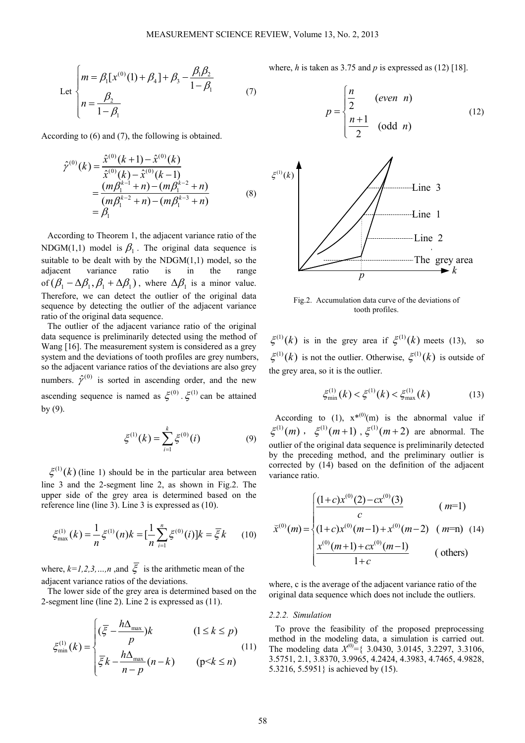Let 
$$
\begin{cases} m = \beta_1 [x^{(0)}(1) + \beta_4] + \beta_3 - \frac{\beta_1 \beta_2}{1 - \beta_1} \\ n = \frac{\beta_2}{1 - \beta_1} \end{cases}
$$
 (7)

According to (6) and (7), the following is obtained.

$$
\hat{\gamma}^{(0)}(k) = \frac{\hat{x}^{(0)}(k+1) - \hat{x}^{(0)}(k)}{\hat{x}^{(0)}(k) - \hat{x}^{(0)}(k-1)} \n= \frac{(m\beta_1^{k-1} + n) - (m\beta_1^{k-2} + n)}{(m\beta_1^{k-2} + n) - (m\beta_1^{k-3} + n)} \n= \beta_1
$$
\n(8)

According to Theorem 1, the adjacent variance ratio of the NDGM(1,1) model is  $\beta_1$ . The original data sequence is suitable to be dealt with by the  $NDGM(1,1)$  model, so the adjacent variance ratio is in the range of  $(\beta_1 - \Delta \beta_1, \beta_1 + \Delta \beta_1)$ , where  $\Delta \beta_1$  is a minor value. Therefore, we can detect the outlier of the original data sequence by detecting the outlier of the adjacent variance ratio of the original data sequence.

The outlier of the adjacent variance ratio of the original data sequence is preliminarily detected using the method of Wang [16]. The measurement system is considered as a grey system and the deviations of tooth profiles are grey numbers, so the adjacent variance ratios of the deviations are also grey numbers.  $\hat{\mathcal{V}}^{(0)}$  is sorted in ascending order, and the new ascending sequence is named as  $\zeta^{(0)}$ ,  $\zeta^{(1)}$  can be attained by (9).

$$
\xi^{(1)}(k) = \sum_{i=1}^{k} \xi^{(0)}(i)
$$
 (9)

 $\xi^{(1)}(k)$  (line 1) should be in the particular area between line 3 and the 2-segment line 2, as shown in Fig.2. The upper side of the grey area is determined based on the reference line (line 3). Line 3 is expressed as (10).

$$
\xi_{\max}^{(1)}(k) = \frac{1}{n} \xi^{(1)}(n)k = \left[\frac{1}{n}\sum_{i=1}^{n} \xi^{(0)}(i)\right]k = \overline{\xi}k \qquad (10)
$$

where,  $k=1,2,3,...,n$  , and  $\overline{\xi}$  is the arithmetic mean of the adjacent variance ratios of the deviations.

The lower side of the grey area is determined based on the 2-segment line (line 2). Line 2 is expressed as (11).

$$
\xi_{\min}^{(1)}(k) = \begin{cases}\n(\overline{\xi} - \frac{h\Delta_{\max}}{p})k & (1 \le k \le p) \\
\overline{\xi}k - \frac{h\Delta_{\max}}{n-p}(n-k) & (p < k \le n)\n\end{cases}
$$
\n(11)

where, *h* is taken as 3.75 and *p* is expressed as (12) [18].

$$
p = \begin{cases} \frac{n}{2} & (even \space n) \\ \frac{n+1}{2} & (odd \space n) \end{cases}
$$
(12)



Fig.2. Accumulation data curve of the deviations of tooth profiles.

 $\xi^{(1)}(k)$  is in the grey area if  $\xi^{(1)}(k)$  meets (13), so  $\xi^{(1)}(k)$  is not the outlier. Otherwise,  $\xi^{(1)}(k)$  is outside of the grey area, so it is the outlier.

$$
\xi_{\min}^{(1)}(k) < \xi^{(1)}(k) < \xi_{\max}^{(1)}(k) \tag{13}
$$

According to (1),  $x^{*(0)}(m)$  is the abnormal value if  $\xi^{(1)}(m)$ ,  $\xi^{(1)}(m+1)$ ,  $\xi^{(1)}(m+2)$  are abnormal. The outlier of the original data sequence is preliminarily detected by the preceding method, and the preliminary outlier is corrected by (14) based on the definition of the adjacent variance ratio.

$$
\bar{x}^{(0)}(m) = \begin{cases}\n\frac{(1+c)x^{(0)}(2) - cx^{(0)}(3)}{c} & (m=1) \\
(1+c)x^{(0)}(m-1) + x^{(0)}(m-2) & (m=n) (14) \\
\frac{x^{(0)}(m+1) + cx^{(0)}(m-1)}{1+c} & (others)\n\end{cases}
$$

where, c is the average of the adjacent variance ratio of the original data sequence which does not include the outliers.

## *2.2.2. Simulation*

To prove the feasibility of the proposed preprocessing method in the modeling data, a simulation is carried out. The modeling data *X(0)*={ 3.0430, 3.0145, 3.2297, 3.3106, 3.5751, 2.1, 3.8370, 3.9965, 4.2424, 4.3983, 4.7465, 4.9828, 5.3216, 5.5951} is achieved by (15).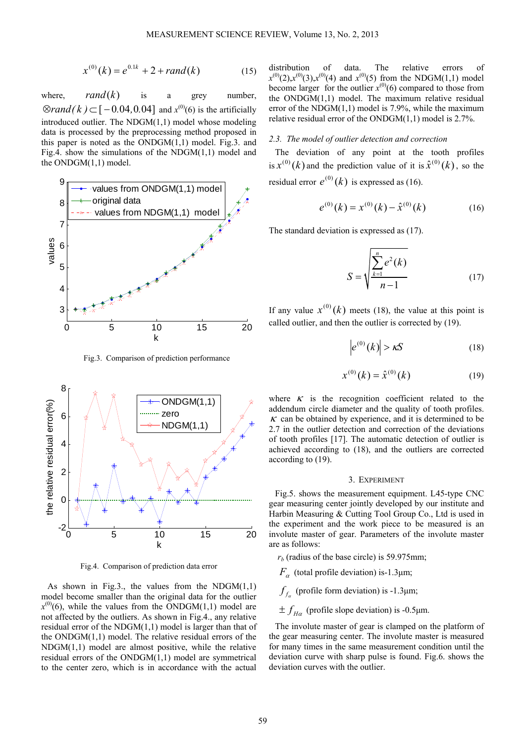$$
x^{(0)}(k) = e^{0.1k} + 2 + rand(k)
$$
 (15)

where,  $rand(k)$  is a grey number,  $\otimes$ *rand*(*k*)  $\subset$  [ - 0.04, 0.04] and *x*<sup>(0)</sup>(6) is the artificially introduced outlier. The NDGM(1,1) model whose modeling data is processed by the preprocessing method proposed in this paper is noted as the  $ONDGM(1,1)$  model. Fig.3. and Fig.4. show the simulations of the NDGM(1,1) model and the ONDGM(1,1) model.



Fig.3. Comparison of prediction performance



Fig.4. Comparison of prediction data error

As shown in Fig.3., the values from the NDGM $(1,1)$ model become smaller than the original data for the outlier  $x^{(0)}(6)$ , while the values from the ONDGM(1,1) model are not affected by the outliers. As shown in Fig.4., any relative residual error of the NDGM(1,1) model is larger than that of the ONDGM(1,1) model. The relative residual errors of the  $NDGM(1,1)$  model are almost positive, while the relative residual errors of the  $ONDGM(1,1)$  model are symmetrical to the center zero, which is in accordance with the actual

distribution of data. The relative errors of  $x^{(0)}(2)$ , $x^{(0)}(3)$ , $x^{(0)}(4)$  and  $x^{(0)}(5)$  from the NDGM(1,1) model become larger for the outlier  $x^{(0)}(6)$  compared to those from the ONDGM(1,1) model. The maximum relative residual error of the NDGM(1,1) model is 7.9%, while the maximum relative residual error of the ONDGM(1,1) model is 2.7%.

## *2.3. The model of outlier detection and correction*

The deviation of any point at the tooth profiles is  $x^{(0)}(k)$  and the prediction value of it is  $\hat{x}^{(0)}(k)$ , so the residual error  $e^{(0)}(k)$  is expressed as (16).

$$
e^{(0)}(k) = x^{(0)}(k) - \hat{x}^{(0)}(k)
$$
 (16)

The standard deviation is expressed as (17).

$$
S = \sqrt{\sum_{k=1}^{n} e^{2}(k)}
$$
 (17)

If any value  $x^{(0)}(k)$  meets (18), the value at this point is called outlier, and then the outlier is corrected by (19).

$$
\left|e^{(0)}(k)\right| > \kappa S\tag{18}
$$

$$
x^{(0)}(k) = \hat{x}^{(0)}(k)
$$
 (19)

where  $\kappa$  is the recognition coefficient related to the addendum circle diameter and the quality of tooth profiles.  $\kappa$  can be obtained by experience, and it is determined to be 2.7 in the outlier detection and correction of the deviations of tooth profiles [17]. The automatic detection of outlier is achieved according to (18), and the outliers are corrected according to (19).

#### 3. EXPERIMENT

Fig.5. shows the measurement equipment. L45-type CNC gear measuring center jointly developed by our institute and Harbin Measuring & Cutting Tool Group Co., Ltd is used in the experiment and the work piece to be measured is an involute master of gear. Parameters of the involute master are as follows:

 $r<sub>b</sub>$  (radius of the base circle) is 59.975mm;

*F*<sub>α</sub> (total profile deviation) is-1.3μm;

 $f_f$  (profile form deviation) is -1.3 $\mu$ m;

 $\pm f_{H\alpha}$  (profile slope deviation) is -0.5 µm.

The involute master of gear is clamped on the platform of the gear measuring center. The involute master is measured for many times in the same measurement condition until the deviation curve with sharp pulse is found. Fig.6. shows the deviation curves with the outlier.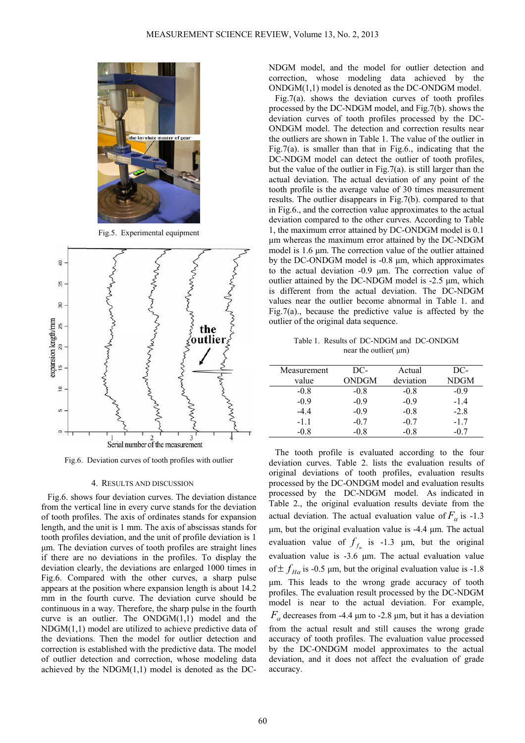

Fig.5. Experimental equipment



Fig.6. Deviation curves of tooth profiles with outlier

## 4. RESULTS AND DISCUSSION

Fig.6. shows four deviation curves. The deviation distance from the vertical line in every curve stands for the deviation of tooth profiles. The axis of ordinates stands for expansion length, and the unit is 1 mm. The axis of abscissas stands for tooth profiles deviation, and the unit of profile deviation is 1 μm. The deviation curves of tooth profiles are straight lines if there are no deviations in the profiles. To display the deviation clearly, the deviations are enlarged 1000 times in Fig.6. Compared with the other curves, a sharp pulse appears at the position where expansion length is about 14.2 mm in the fourth curve. The deviation curve should be continuous in a way. Therefore, the sharp pulse in the fourth curve is an outlier. The  $ONDGM(1,1)$  model and the NDGM(1,1) model are utilized to achieve predictive data of the deviations. Then the model for outlier detection and correction is established with the predictive data. The model of outlier detection and correction, whose modeling data achieved by the  $NDGM(1,1)$  model is denoted as the DC-

NDGM model, and the model for outlier detection and correction, whose modeling data achieved by the ONDGM(1,1) model is denoted as the DC-ONDGM model.

Fig.7(a). shows the deviation curves of tooth profiles processed by the DC-NDGM model, and Fig.7(b). shows the deviation curves of tooth profiles processed by the DC-ONDGM model. The detection and correction results near the outliers are shown in Table 1. The value of the outlier in Fig.7(a). is smaller than that in Fig.6., indicating that the DC-NDGM model can detect the outlier of tooth profiles, but the value of the outlier in Fig.7(a). is still larger than the actual deviation. The actual deviation of any point of the tooth profile is the average value of 30 times measurement results. The outlier disappears in Fig.7(b). compared to that in Fig.6., and the correction value approximates to the actual deviation compared to the other curves. According to Table 1, the maximum error attained by DC-ONDGM model is 0.1 μm whereas the maximum error attained by the DC-NDGM model is 1.6 μm. The correction value of the outlier attained by the DC-ONDGM model is -0.8 μm, which approximates to the actual deviation -0.9 μm. The correction value of outlier attained by the DC-NDGM model is -2.5 μm, which is different from the actual deviation. The DC-NDGM values near the outlier become abnormal in Table 1. and Fig.7(a)., because the predictive value is affected by the outlier of the original data sequence.

Table 1. Results of DC-NDGM and DC-ONDGM near the outlier( μm)

| Measurement | DC-    | Actual    | DC-         |
|-------------|--------|-----------|-------------|
| value       | ONDGM  | deviation | <b>NDGM</b> |
| $-0.8$      | $-0.8$ | $-0.8$    | $-0.9$      |
| $-0.9$      | $-0.9$ | $-0.9$    | $-1.4$      |
| -44         | $-0.9$ | $-0.8$    | $-2.8$      |
| $-1.1$      | $-0.7$ | $-0.7$    | $-1.7$      |
| -0.8        | $-0.8$ | -0.8      | -07         |

The tooth profile is evaluated according to the four deviation curves. Table 2. lists the evaluation results of original deviations of tooth profiles, evaluation results processed by the DC-ONDGM model and evaluation results processed by the DC-NDGM model. As indicated in Table 2., the original evaluation results deviate from the actual deviation. The actual evaluation value of  $F_a$  is -1.3 μm, but the original evaluation value is -4.4 μm. The actual evaluation value of  $f_{f_a}$  is -1.3  $\mu$ m, but the original evaluation value is -3.6 μm. The actual evaluation value of  $\pm f_{H\alpha}$  is -0.5 µm, but the original evaluation value is -1.8 μm. This leads to the wrong grade accuracy of tooth profiles. The evaluation result processed by the DC-NDGM model is near to the actual deviation. For example,  $F_\alpha$  decreases from -4.4 μm to -2.8 μm, but it has a deviation from the actual result and still causes the wrong grade accuracy of tooth profiles. The evaluation value processed by the DC-ONDGM model approximates to the actual deviation, and it does not affect the evaluation of grade accuracy.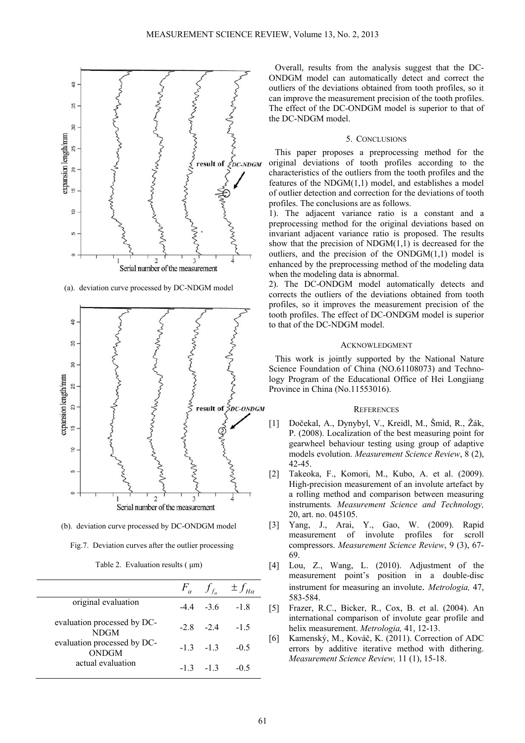

(a). deviation curve processed by DC-NDGM model



(b). deviation curve processed by DC-ONDGM model

|  | Fig.7. Deviation curves after the outlier processing |  |
|--|------------------------------------------------------|--|
|  |                                                      |  |

Table 2. Evaluation results ( μm)

|                                             |            | $F_{\alpha}$ $f_{f_{\alpha}}$ $\pm f_{H\alpha}$ |
|---------------------------------------------|------------|-------------------------------------------------|
| original evaluation                         |            | $-44 - 36 - 18$                                 |
| evaluation processed by DC-<br><b>NDGM</b>  |            | $-28$ $-24$ $-15$                               |
| evaluation processed by DC-<br><b>ONDGM</b> | $-13 - 13$ | $-0.5$                                          |
| actual evaluation                           | $-13 - 13$ | $-0.5$                                          |

Overall, results from the analysis suggest that the DC-ONDGM model can automatically detect and correct the outliers of the deviations obtained from tooth profiles, so it can improve the measurement precision of the tooth profiles. The effect of the DC-ONDGM model is superior to that of the DC-NDGM model.

## 5. CONCLUSIONS

This paper proposes a preprocessing method for the original deviations of tooth profiles according to the characteristics of the outliers from the tooth profiles and the features of the NDGM(1,1) model, and establishes a model of outlier detection and correction for the deviations of tooth profiles. The conclusions are as follows.

1). The adjacent variance ratio is a constant and a preprocessing method for the original deviations based on invariant adjacent variance ratio is proposed. The results show that the precision of  $NDGM(1,1)$  is decreased for the outliers, and the precision of the  $ONDGM(1,1)$  model is enhanced by the preprocessing method of the modeling data when the modeling data is abnormal.

2). The DC-ONDGM model automatically detects and corrects the outliers of the deviations obtained from tooth profiles, so it improves the measurement precision of the tooth profiles. The effect of DC-ONDGM model is superior to that of the DC-NDGM model.

# **ACKNOWLEDGMENT**

This work is jointly supported by the National Nature Science Foundation of China (NO.61108073) and Technology Program of the Educational Office of Hei Longjiang Province in China (No.11553016).

#### **REFERENCES**

- [1] Dočekal, A., Dynybyl, V., Kreidl, M., Šmíd, R., Žák, P. (2008). Localization of the best measuring point for gearwheel behaviour testing using group of adaptive models evolution. *Measurement Science Review*, 8 (2), 42-45.
- [2] Takeoka, F., Komori, M., Kubo, A. et al. (2009). High-precision measurement of an involute artefact by a rolling method and comparison between measuring instruments*. Measurement Science and Technology,*  20, art. no. 045105.
- [3] Yang, J., Arai, Y., Gao, W. (2009). Rapid measurement of involute profiles for scroll compressors. *Measurement Science Review*, 9 (3), 67- 69.
- [4] Lou, Z., Wang, L. (2010). Adjustment of the measurement point's position in a double-disc instrument for measuring an involute. *Metrologia,* 47, 583-584.
- [5] Frazer, R.C., Bicker, R., Cox, B. et al. (2004). An international comparison of involute gear profile and helix measurement. *Metrologia,* 41, 12-13.
- [6] Kamenský, M., Kováč, K. (2011). Correction of ADC errors by additive iterative method with dithering. *Measurement Science Review,* 11 (1), 15-18.